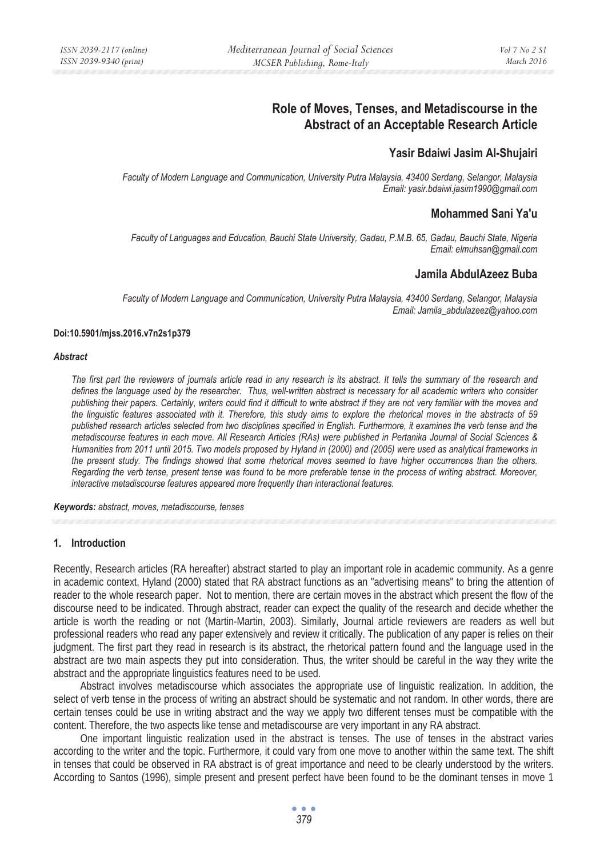# **Role of Moves, Tenses, and Metadiscourse in the Abstract of an Acceptable Research Article**

# **Yasir Bdaiwi Jasim Al-Shujairi**

*Faculty of Modern Language and Communication, University Putra Malaysia, 43400 Serdang, Selangor, Malaysia Email: yasir.bdaiwi.jasim1990@gmail.com* 

# **Mohammed Sani Ya'u**

*Faculty of Languages and Education, Bauchi State University, Gadau, P.M.B. 65, Gadau, Bauchi State, Nigeria Email: elmuhsan@gmail.com* 

# **Jamila AbdulAzeez Buba**

*Faculty of Modern Language and Communication, University Putra Malaysia, 43400 Serdang, Selangor, Malaysia Email: Jamila\_abdulazeez@yahoo.com* 

#### **Doi:10.5901/mjss.2016.v7n2s1p379**

### *Abstract*

*The first part the reviewers of journals article read in any research is its abstract. It tells the summary of the research and defines the language used by the researcher. Thus, well-written abstract is necessary for all academic writers who consider publishing their papers. Certainly, writers could find it difficult to write abstract if they are not very familiar with the moves and the linguistic features associated with it. Therefore, this study aims to explore the rhetorical moves in the abstracts of 59 published research articles selected from two disciplines specified in English. Furthermore, it examines the verb tense and the metadiscourse features in each move. All Research Articles (RAs) were published in Pertanika Journal of Social Sciences & Humanities from 2011 until 2015. Two models proposed by Hyland in (2000) and (2005) were used as analytical frameworks in the present study. The findings showed that some rhetorical moves seemed to have higher occurrences than the others. Regarding the verb tense, present tense was found to be more preferable tense in the process of writing abstract. Moreover, interactive metadiscourse features appeared more frequently than interactional features.* 

*Keywords: abstract, moves, metadiscourse, tenses* 

### **1. Introduction**

Recently, Research articles (RA hereafter) abstract started to play an important role in academic community. As a genre in academic context, Hyland (2000) stated that RA abstract functions as an "advertising means" to bring the attention of reader to the whole research paper. Not to mention, there are certain moves in the abstract which present the flow of the discourse need to be indicated. Through abstract, reader can expect the quality of the research and decide whether the article is worth the reading or not (Martin-Martin, 2003). Similarly, Journal article reviewers are readers as well but professional readers who read any paper extensively and review it critically. The publication of any paper is relies on their judgment. The first part they read in research is its abstract, the rhetorical pattern found and the language used in the abstract are two main aspects they put into consideration. Thus, the writer should be careful in the way they write the abstract and the appropriate linguistics features need to be used.

Abstract involves metadiscourse which associates the appropriate use of linguistic realization. In addition, the select of verb tense in the process of writing an abstract should be systematic and not random. In other words, there are certain tenses could be use in writing abstract and the way we apply two different tenses must be compatible with the content. Therefore, the two aspects like tense and metadiscourse are very important in any RA abstract.

One important linguistic realization used in the abstract is tenses. The use of tenses in the abstract varies according to the writer and the topic. Furthermore, it could vary from one move to another within the same text. The shift in tenses that could be observed in RA abstract is of great importance and need to be clearly understood by the writers. According to Santos (1996), simple present and present perfect have been found to be the dominant tenses in move 1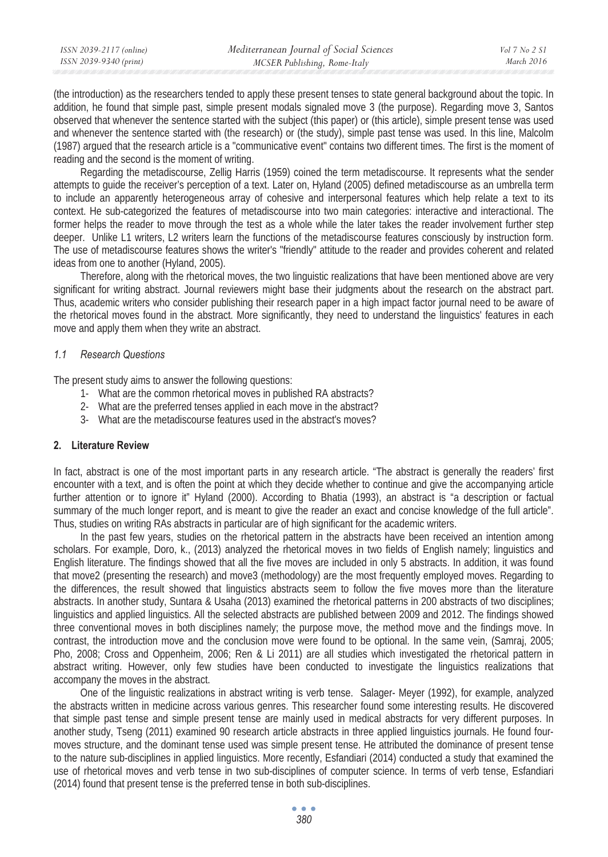| ISSN 2039-2117 (online) | Mediterranean Journal of Social Sciences | Vol 7 No 2 SI |
|-------------------------|------------------------------------------|---------------|
| ISSN 2039-9340 (print)  | MCSER Publishing, Rome-Italy             | March 2016    |

(the introduction) as the researchers tended to apply these present tenses to state general background about the topic. In addition, he found that simple past, simple present modals signaled move 3 (the purpose). Regarding move 3, Santos observed that whenever the sentence started with the subject (this paper) or (this article), simple present tense was used and whenever the sentence started with (the research) or (the study), simple past tense was used. In this line, Malcolm (1987) argued that the research article is a "communicative event" contains two different times. The first is the moment of reading and the second is the moment of writing.

Regarding the metadiscourse, Zellig Harris (1959) coined the term metadiscourse. It represents what the sender attempts to guide the receiver's perception of a text. Later on, Hyland (2005) defined metadiscourse as an umbrella term to include an apparently heterogeneous array of cohesive and interpersonal features which help relate a text to its context. He sub-categorized the features of metadiscourse into two main categories: interactive and interactional. The former helps the reader to move through the test as a whole while the later takes the reader involvement further step deeper. Unlike L1 writers, L2 writers learn the functions of the metadiscourse features consciously by instruction form. The use of metadiscourse features shows the writer's "friendly" attitude to the reader and provides coherent and related ideas from one to another (Hyland, 2005).

Therefore, along with the rhetorical moves, the two linguistic realizations that have been mentioned above are very significant for writing abstract. Journal reviewers might base their judgments about the research on the abstract part. Thus, academic writers who consider publishing their research paper in a high impact factor journal need to be aware of the rhetorical moves found in the abstract. More significantly, they need to understand the linguistics' features in each move and apply them when they write an abstract.

### *1.1 Research Questions*

The present study aims to answer the following questions:

- 1- What are the common rhetorical moves in published RA abstracts?
- 2- What are the preferred tenses applied in each move in the abstract?
- 3- What are the metadiscourse features used in the abstract's moves?

# **2. Literature Review**

In fact, abstract is one of the most important parts in any research article. "The abstract is generally the readers' first encounter with a text, and is often the point at which they decide whether to continue and give the accompanying article further attention or to ignore it" Hyland (2000). According to Bhatia (1993), an abstract is "a description or factual summary of the much longer report, and is meant to give the reader an exact and concise knowledge of the full article". Thus, studies on writing RAs abstracts in particular are of high significant for the academic writers.

In the past few years, studies on the rhetorical pattern in the abstracts have been received an intention among scholars. For example, Doro, k., (2013) analyzed the rhetorical moves in two fields of English namely; linguistics and English literature. The findings showed that all the five moves are included in only 5 abstracts. In addition, it was found that move2 (presenting the research) and move3 (methodology) are the most frequently employed moves. Regarding to the differences, the result showed that linguistics abstracts seem to follow the five moves more than the literature abstracts. In another study, Suntara & Usaha (2013) examined the rhetorical patterns in 200 abstracts of two disciplines; linguistics and applied linguistics. All the selected abstracts are published between 2009 and 2012. The findings showed three conventional moves in both disciplines namely; the purpose move, the method move and the findings move. In contrast, the introduction move and the conclusion move were found to be optional. In the same vein, (Samraj, 2005; Pho, 2008; Cross and Oppenheim, 2006; Ren & Li 2011) are all studies which investigated the rhetorical pattern in abstract writing. However, only few studies have been conducted to investigate the linguistics realizations that accompany the moves in the abstract.

One of the linguistic realizations in abstract writing is verb tense. Salager- Meyer (1992), for example, analyzed the abstracts written in medicine across various genres. This researcher found some interesting results. He discovered that simple past tense and simple present tense are mainly used in medical abstracts for very different purposes. In another study, Tseng (2011) examined 90 research article abstracts in three applied linguistics journals. He found fourmoves structure, and the dominant tense used was simple present tense. He attributed the dominance of present tense to the nature sub-disciplines in applied linguistics. More recently, Esfandiari (2014) conducted a study that examined the use of rhetorical moves and verb tense in two sub-disciplines of computer science. In terms of verb tense, Esfandiari (2014) found that present tense is the preferred tense in both sub-disciplines.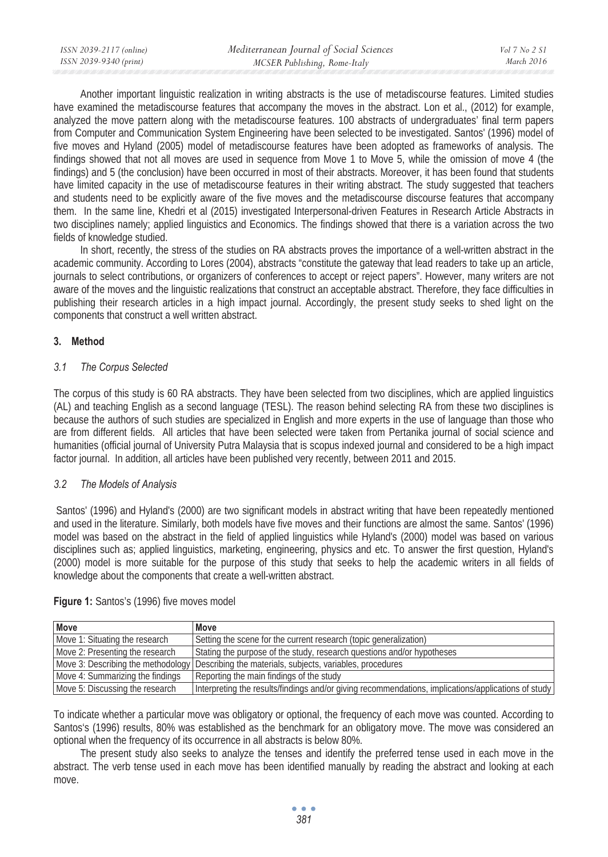| ISSN 2039-2117 (online) | Mediterranean Journal of Social Sciences | Vol 7 No 2 S1 |
|-------------------------|------------------------------------------|---------------|
| ISSN 2039-9340 (print)  | MCSER Publishing, Rome-Italy             | March 2016    |

Another important linguistic realization in writing abstracts is the use of metadiscourse features. Limited studies have examined the metadiscourse features that accompany the moves in the abstract. Lon et al., (2012) for example, analyzed the move pattern along with the metadiscourse features. 100 abstracts of undergraduates' final term papers from Computer and Communication System Engineering have been selected to be investigated. Santos' (1996) model of five moves and Hyland (2005) model of metadiscourse features have been adopted as frameworks of analysis. The findings showed that not all moves are used in sequence from Move 1 to Move 5, while the omission of move 4 (the findings) and 5 (the conclusion) have been occurred in most of their abstracts. Moreover, it has been found that students have limited capacity in the use of metadiscourse features in their writing abstract. The study suggested that teachers and students need to be explicitly aware of the five moves and the metadiscourse discourse features that accompany them. In the same line, Khedri et al (2015) investigated Interpersonal-driven Features in Research Article Abstracts in two disciplines namely; applied linguistics and Economics. The findings showed that there is a variation across the two fields of knowledge studied.

In short, recently, the stress of the studies on RA abstracts proves the importance of a well-written abstract in the academic community. According to Lores (2004), abstracts "constitute the gateway that lead readers to take up an article, journals to select contributions, or organizers of conferences to accept or reject papers". However, many writers are not aware of the moves and the linguistic realizations that construct an acceptable abstract. Therefore, they face difficulties in publishing their research articles in a high impact journal. Accordingly, the present study seeks to shed light on the components that construct a well written abstract.

# **3. Method**

# *3.1 The Corpus Selected*

The corpus of this study is 60 RA abstracts. They have been selected from two disciplines, which are applied linguistics (AL) and teaching English as a second language (TESL). The reason behind selecting RA from these two disciplines is because the authors of such studies are specialized in English and more experts in the use of language than those who are from different fields. All articles that have been selected were taken from Pertanika journal of social science and humanities (official journal of University Putra Malaysia that is scopus indexed journal and considered to be a high impact factor journal. In addition, all articles have been published very recently, between 2011 and 2015.

# *3.2 The Models of Analysis*

 Santos' (1996) and Hyland's (2000) are two significant models in abstract writing that have been repeatedly mentioned and used in the literature. Similarly, both models have five moves and their functions are almost the same. Santos' (1996) model was based on the abstract in the field of applied linguistics while Hyland's (2000) model was based on various disciplines such as; applied linguistics, marketing, engineering, physics and etc. To answer the first question, Hyland's (2000) model is more suitable for the purpose of this study that seeks to help the academic writers in all fields of knowledge about the components that create a well-written abstract.

| Move                             | <b>Move</b>                                                                                         |
|----------------------------------|-----------------------------------------------------------------------------------------------------|
| Move 1: Situating the research   | Setting the scene for the current research (topic generalization)                                   |
| Move 2: Presenting the research  | Stating the purpose of the study, research questions and/or hypotheses                              |
|                                  | Move 3: Describing the methodology Describing the materials, subjects, variables, procedures        |
| Move 4: Summarizing the findings | Reporting the main findings of the study                                                            |
| Move 5: Discussing the research  | Interpreting the results/findings and/or giving recommendations, implications/applications of study |

Figure 1: Santos's (1996) five moves model

To indicate whether a particular move was obligatory or optional, the frequency of each move was counted. According to Santos's (1996) results, 80% was established as the benchmark for an obligatory move. The move was considered an optional when the frequency of its occurrence in all abstracts is below 80%.

The present study also seeks to analyze the tenses and identify the preferred tense used in each move in the abstract. The verb tense used in each move has been identified manually by reading the abstract and looking at each move.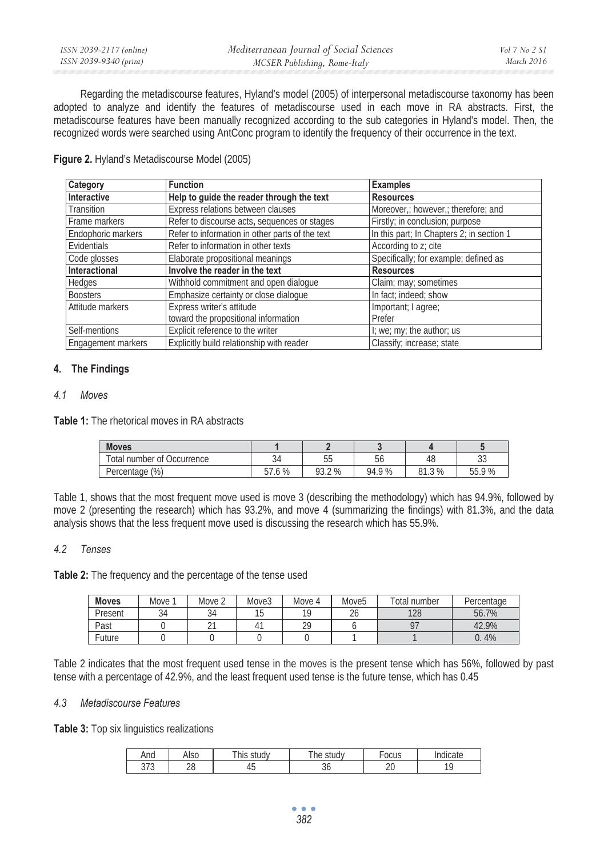| ISSN 2039-2117 (online) | Mediterranean Journal of Social Sciences | Vol 7 No 2 S1 |
|-------------------------|------------------------------------------|---------------|
| ISSN 2039-9340 (print)  | MCSER Publishing, Rome-Italy             | March 2016    |

Regarding the metadiscourse features, Hyland's model (2005) of interpersonal metadiscourse taxonomy has been adopted to analyze and identify the features of metadiscourse used in each move in RA abstracts. First, the metadiscourse features have been manually recognized according to the sub categories in Hyland's model. Then, the recognized words were searched using AntConc program to identify the frequency of their occurrence in the text.

| Category           | <b>Function</b>                                 | <b>Examples</b>                           |
|--------------------|-------------------------------------------------|-------------------------------------------|
| Interactive        | Help to guide the reader through the text       | <b>Resources</b>                          |
| Transition         | Express relations between clauses               | Moreover,; however,; therefore; and       |
| Frame markers      | Refer to discourse acts, sequences or stages    | Firstly: in conclusion: purpose           |
| Endophoric markers | Refer to information in other parts of the text | In this part; In Chapters 2; in section 1 |
| Evidentials        | Refer to information in other texts             | According to z; cite                      |
| Code glosses       | Elaborate propositional meanings                | Specifically; for example; defined as     |
| Interactional      | Involve the reader in the text                  | <b>Resources</b>                          |
| Hedges             | Withhold commitment and open dialogue           | Claim; may; sometimes                     |
| <b>Boosters</b>    | Emphasize certainty or close dialogue           | In fact; indeed; show                     |
| Attitude markers   | Express writer's attitude                       | Important; I agree;                       |
|                    | toward the propositional information            | Prefer                                    |
| Self-mentions      | Explicit reference to the writer                | I; we; my; the author; us                 |
| Engagement markers | Explicitly build relationship with reader       | Classify; increase; state                 |

**Figure 2.** Hyland's Metadiscourse Model (2005)

### **4. The Findings**

#### *4.1 Moves*

**Table 1:** The rhetorical moves in RA abstracts

| <b>Moves</b>               |                   |                     |       |                    |              |
|----------------------------|-------------------|---------------------|-------|--------------------|--------------|
| Total number of Occurrence | $\sim$<br>٠4<br>◡ | --<br>hh<br>JJ      | 56    | 48                 | $\sim$<br>JJ |
| (% )<br>Percentage         | $.6\%$            | 2%<br>O2<br>7 J . Z | 94.9% | 3%<br>01<br>O I .3 | 55.9%        |

Table 1, shows that the most frequent move used is move 3 (describing the methodology) which has 94.9%, followed by move 2 (presenting the research) which has 93.2%, and move 4 (summarizing the findings) with 81.3%, and the data analysis shows that the less frequent move used is discussing the research which has 55.9%.

#### *4.2 Tenses*

**Table 2:** The frequency and the percentage of the tense used

| <b>Moves</b> | Move ' | Move 2 | Move3 | Move 4 | Move <sub>5</sub> | Total number | Percentage |
|--------------|--------|--------|-------|--------|-------------------|--------------|------------|
| Present      | 34     |        | ∪ו    | 10     | $\sim$<br>ZC      | 128          | 56.7%      |
| Past         |        |        |       | 29     |                   |              | 42.9%      |
| Future       |        |        |       |        |                   |              | 4%         |

Table 2 indicates that the most frequent used tense in the moves is the present tense which has 56%, followed by past tense with a percentage of 42.9%, and the least frequent used tense is the future tense, which has 0.45

### *4.3 Metadiscourse Features*

**Table 3:** Top six linguistics realizations

| And                     | $\sim$<br>915G | -his<br>studv | $\sim$<br>٦E.<br>uuv.<br>11 | $\cdots$<br><b>LOCU</b> | ale |
|-------------------------|----------------|---------------|-----------------------------|-------------------------|-----|
| $\sim$ $\sim$<br>$\sim$ | $\sim$<br>--   | .<br>д.<br>τJ | υu                          |                         |     |

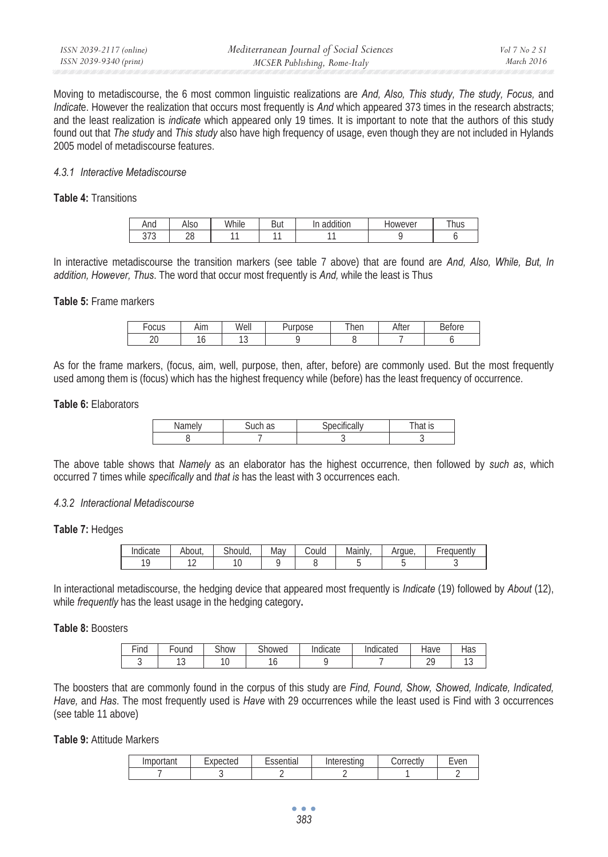| ISSN 2039-2117 (online) | Mediterranean Journal of Social Sciences | Vol 7 No 2 S1 |
|-------------------------|------------------------------------------|---------------|
| ISSN 2039-9340 (print)  | MCSER Publishing, Rome-Italy             | March 2016    |

Moving to metadiscourse, the 6 most common linguistic realizations are *And, Also, This study, The study, Focus,* and *Indicat*e. However the realization that occurs most frequently is *And* which appeared 373 times in the research abstracts; and the least realization is *indicate* which appeared only 19 times. It is important to note that the authors of this study found out that *The study* and *This study* also have high frequency of usage, even though they are not included in Hylands 2005 model of metadiscourse features.

### *4.3.1 Interactive Metadiscourse*

#### **Table 4:** Transitions

| And                         | $\sim$<br>915U | While | But | <b>CAST AND</b><br>માાળા .<br>и н | owever<br>−1. | hus |
|-----------------------------|----------------|-------|-----|-----------------------------------|---------------|-----|
| $\sim$ $\sim$<br><b>UIU</b> | $\sim$         |       |     |                                   |               |     |

In interactive metadiscourse the transition markers (see table 7 above) that are found are *And, Also, While, But, In addition, However, Thus*. The word that occur most frequently is *And,* while the least is Thus

# **Table 5:** Frame markers

|          | $\Lambda$ in<br>ЧШI | $\cdots$<br>Mel<br>UЛ | ີ | hen | 14 A<br>anei |  |
|----------|---------------------|-----------------------|---|-----|--------------|--|
| $\Omega$ |                     | ◢                     |   |     |              |  |

As for the frame markers, (focus, aim, well, purpose, then, after, before) are commonly used. But the most frequently used among them is (focus) which has the highest frequency while (before) has the least frequency of occurrence.

#### **Table 6:** Elaborators

The above table shows that *Namely* as an elaborator has the highest occurrence, then followed by *such as*, which occurred 7 times while *specifically* and *that is* has the least with 3 occurrences each.

### *4.3.2 Interactional Metadiscourse*

#### **Table 7:** Hedges

| ш |   | $\sim$<br>')ulu | Mav | ould. | والمرتجرا<br>M | $\overline{1}$<br>M | יי |
|---|---|-----------------|-----|-------|----------------|---------------------|----|
| - | × |                 |     |       |                |                     |    |

In interactional metadiscourse, the hedging device that appeared most frequently is *Indicate* (19) followed by *About* (12), while *frequently* has the least usage in the hedging category**.** 

### **Table 8:** Boosters

| - 1<br>-ina | $\overline{\mathbf{m}}$<br>י Juliu | Show | $\sim$<br>showed | <br>ndicate | <br>cated | Have | $\sim$<br>ias |
|-------------|------------------------------------|------|------------------|-------------|-----------|------|---------------|
|             |                                    |      |                  |             |           | nn   |               |

The boosters that are commonly found in the corpus of this study are *Find, Found, Show, Showed, Indicate, Indicated, Have,* and *Has*. The most frequently used is *Have* with 29 occurrences while the least used is Find with 3 occurrences (see table 11 above)

### **Table 9:** Attitude Markers

| indoniani |  | rth. | VE |
|-----------|--|------|----|
|           |  |      |    |

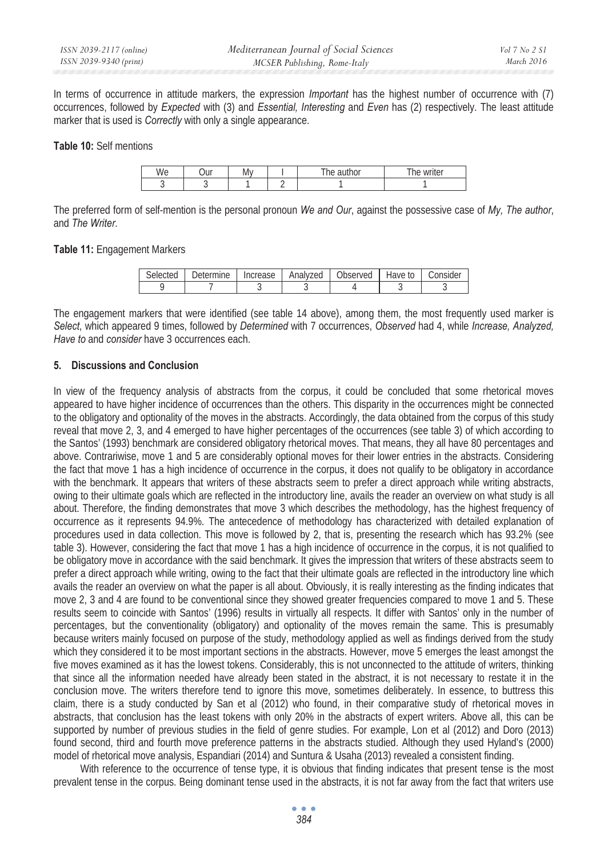In terms of occurrence in attitude markers, the expression *Important* has the highest number of occurrence with (7) occurrences, followed by *Expected* with (3) and *Essential, Interesting* and *Even* has (2) respectively. The least attitude marker that is used is *Correctly* with only a single appearance.

#### **Table 10:** Self mentions

| We | )ı ır<br>้นเ | M١ |  | $\overline{\phantom{a}}$<br>w<br>нег |
|----|--------------|----|--|--------------------------------------|
|    |              |    |  |                                      |

The preferred form of self-mention is the personal pronoun *We and Our*, against the possessive case of *My, The author*, and *The Writer*.

#### **Table 11:** Engagement Markers

| u |  | $\sim$<br>.<br>ت ب | ⁄ ρ<br>w<br>,,,,,, | ۱۵۲<br> | <b>AVE</b> |  |
|---|--|--------------------|--------------------|---------|------------|--|
|   |  |                    |                    |         |            |  |

The engagement markers that were identified (see table 14 above), among them, the most frequently used marker is *Select*, which appeared 9 times, followed by *Determined* with 7 occurrences, *Observed* had 4, while *Increase, Analyzed, Have to* and *consider* have 3 occurrences each.

### **5. Discussions and Conclusion**

In view of the frequency analysis of abstracts from the corpus, it could be concluded that some rhetorical moves appeared to have higher incidence of occurrences than the others. This disparity in the occurrences might be connected to the obligatory and optionality of the moves in the abstracts. Accordingly, the data obtained from the corpus of this study reveal that move 2, 3, and 4 emerged to have higher percentages of the occurrences (see table 3) of which according to the Santos' (1993) benchmark are considered obligatory rhetorical moves. That means, they all have 80 percentages and above. Contrariwise, move 1 and 5 are considerably optional moves for their lower entries in the abstracts. Considering the fact that move 1 has a high incidence of occurrence in the corpus, it does not qualify to be obligatory in accordance with the benchmark. It appears that writers of these abstracts seem to prefer a direct approach while writing abstracts, owing to their ultimate goals which are reflected in the introductory line, avails the reader an overview on what study is all about. Therefore, the finding demonstrates that move 3 which describes the methodology, has the highest frequency of occurrence as it represents 94.9%. The antecedence of methodology has characterized with detailed explanation of procedures used in data collection. This move is followed by 2, that is, presenting the research which has 93.2% (see table 3). However, considering the fact that move 1 has a high incidence of occurrence in the corpus, it is not qualified to be obligatory move in accordance with the said benchmark. It gives the impression that writers of these abstracts seem to prefer a direct approach while writing, owing to the fact that their ultimate goals are reflected in the introductory line which avails the reader an overview on what the paper is all about. Obviously, it is really interesting as the finding indicates that move 2, 3 and 4 are found to be conventional since they showed greater frequencies compared to move 1 and 5. These results seem to coincide with Santos' (1996) results in virtually all respects. It differ with Santos' only in the number of percentages, but the conventionality (obligatory) and optionality of the moves remain the same. This is presumably because writers mainly focused on purpose of the study, methodology applied as well as findings derived from the study which they considered it to be most important sections in the abstracts. However, move 5 emerges the least amongst the five moves examined as it has the lowest tokens. Considerably, this is not unconnected to the attitude of writers, thinking that since all the information needed have already been stated in the abstract, it is not necessary to restate it in the conclusion move. The writers therefore tend to ignore this move, sometimes deliberately. In essence, to buttress this claim, there is a study conducted by San et al (2012) who found, in their comparative study of rhetorical moves in abstracts, that conclusion has the least tokens with only 20% in the abstracts of expert writers. Above all, this can be supported by number of previous studies in the field of genre studies. For example, Lon et al (2012) and Doro (2013) found second, third and fourth move preference patterns in the abstracts studied. Although they used Hyland's (2000) model of rhetorical move analysis, Espandiari (2014) and Suntura & Usaha (2013) revealed a consistent finding.

With reference to the occurrence of tense type, it is obvious that finding indicates that present tense is the most prevalent tense in the corpus. Being dominant tense used in the abstracts, it is not far away from the fact that writers use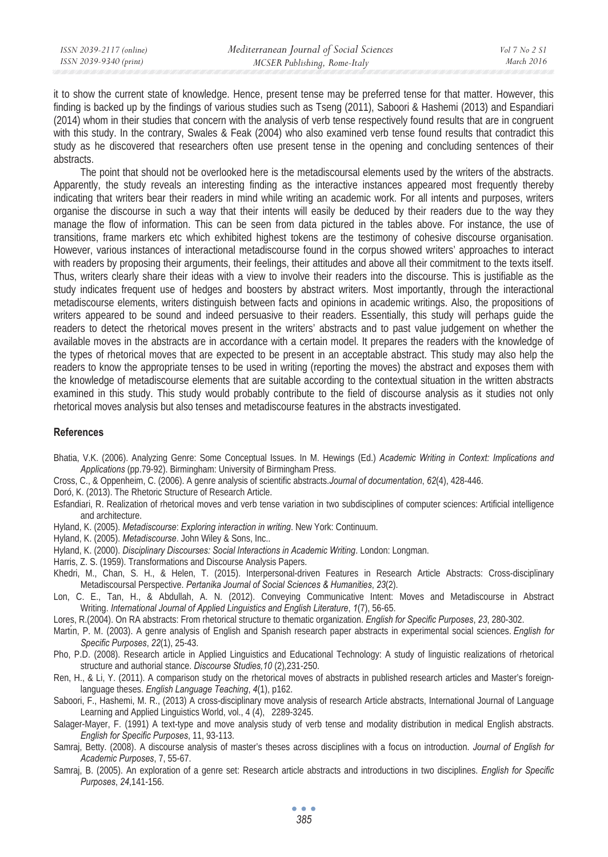it to show the current state of knowledge. Hence, present tense may be preferred tense for that matter. However, this finding is backed up by the findings of various studies such as Tseng (2011), Saboori & Hashemi (2013) and Espandiari (2014) whom in their studies that concern with the analysis of verb tense respectively found results that are in congruent with this study. In the contrary, Swales & Feak (2004) who also examined verb tense found results that contradict this study as he discovered that researchers often use present tense in the opening and concluding sentences of their abstracts.

The point that should not be overlooked here is the metadiscoursal elements used by the writers of the abstracts. Apparently, the study reveals an interesting finding as the interactive instances appeared most frequently thereby indicating that writers bear their readers in mind while writing an academic work. For all intents and purposes, writers organise the discourse in such a way that their intents will easily be deduced by their readers due to the way they manage the flow of information. This can be seen from data pictured in the tables above. For instance, the use of transitions, frame markers etc which exhibited highest tokens are the testimony of cohesive discourse organisation. However, various instances of interactional metadiscourse found in the corpus showed writers' approaches to interact with readers by proposing their arguments, their feelings, their attitudes and above all their commitment to the texts itself. Thus, writers clearly share their ideas with a view to involve their readers into the discourse. This is justifiable as the study indicates frequent use of hedges and boosters by abstract writers. Most importantly, through the interactional metadiscourse elements, writers distinguish between facts and opinions in academic writings. Also, the propositions of writers appeared to be sound and indeed persuasive to their readers. Essentially, this study will perhaps guide the readers to detect the rhetorical moves present in the writers' abstracts and to past value judgement on whether the available moves in the abstracts are in accordance with a certain model. It prepares the readers with the knowledge of the types of rhetorical moves that are expected to be present in an acceptable abstract. This study may also help the readers to know the appropriate tenses to be used in writing (reporting the moves) the abstract and exposes them with the knowledge of metadiscourse elements that are suitable according to the contextual situation in the written abstracts examined in this study. This study would probably contribute to the field of discourse analysis as it studies not only rhetorical moves analysis but also tenses and metadiscourse features in the abstracts investigated.

#### **References**

Bhatia, V.K. (2006). Analyzing Genre: Some Conceptual Issues. In M. Hewings (Ed.) *Academic Writing in Context: Implications and Applications* (pp.79-92). Birmingham: University of Birmingham Press.

- Cross, C., & Oppenheim, C. (2006). A genre analysis of scientific abstracts.*Journal of documentation*, *62*(4), 428-446.
- Doró, K. (2013). The Rhetoric Structure of Research Article.
- Esfandiari, R. Realization of rhetorical moves and verb tense variation in two subdisciplines of computer sciences: Artificial intelligence and architecture.
- Hyland, K. (2005). *Metadiscourse*: *Exploring interaction in writing*. New York: Continuum.
- Hyland, K. (2005). *Metadiscourse*. John Wiley & Sons, Inc..
- Hyland, K. (2000). *Disciplinary Discourses: Social Interactions in Academic Writing*. London: Longman.
- Harris, Z. S. (1959). Transformations and Discourse Analysis Papers.
- Khedri, M., Chan, S. H., & Helen, T. (2015). Interpersonal-driven Features in Research Article Abstracts: Cross-disciplinary Metadiscoursal Perspective. *Pertanika Journal of Social Sciences & Humanities*, *23*(2).
- Lon, C. E., Tan, H., & Abdullah, A. N. (2012). Conveying Communicative Intent: Moves and Metadiscourse in Abstract Writing. *International Journal of Applied Linguistics and English Literature*, *1*(7), 56-65.
- Lores, R.(2004). On RA abstracts: From rhetorical structure to thematic organization. *English for Specific Purposes*, *23*, 280-302.
- Martín, P. M. (2003). A genre analysis of English and Spanish research paper abstracts in experimental social sciences. *English for Specific Purposes*, *22*(1), 25-43.
- Pho, P.D. (2008). Research article in Applied Linguistics and Educational Technology: A study of linguistic realizations of rhetorical structure and authorial stance. *Discourse Studies,10* (2)*,*231-250.
- Ren, H., & Li, Y. (2011). A comparison study on the rhetorical moves of abstracts in published research articles and Master's foreignlanguage theses. *English Language Teaching*, *4*(1), p162.
- Saboori, F., Hashemi, M. R., (2013) A cross-disciplinary move analysis of research Article abstracts, International Journal of Language Learning and Applied Linguistics World, vol., 4 (4), 2289-3245.
- Salager-Mayer, F. (1991) A text-type and move analysis study of verb tense and modality distribution in medical English abstracts. *English for Specific Purposes*, 11, 93-113.
- Samraj, Betty. (2008). A discourse analysis of master's theses across disciplines with a focus on introduction. *Journal of English for Academic Purposes*, 7, 55-67.
- Samraj, B. (2005). An exploration of a genre set: Research article abstracts and introductions in two disciplines. *English for Specific Purposes*, *24*,141-156.